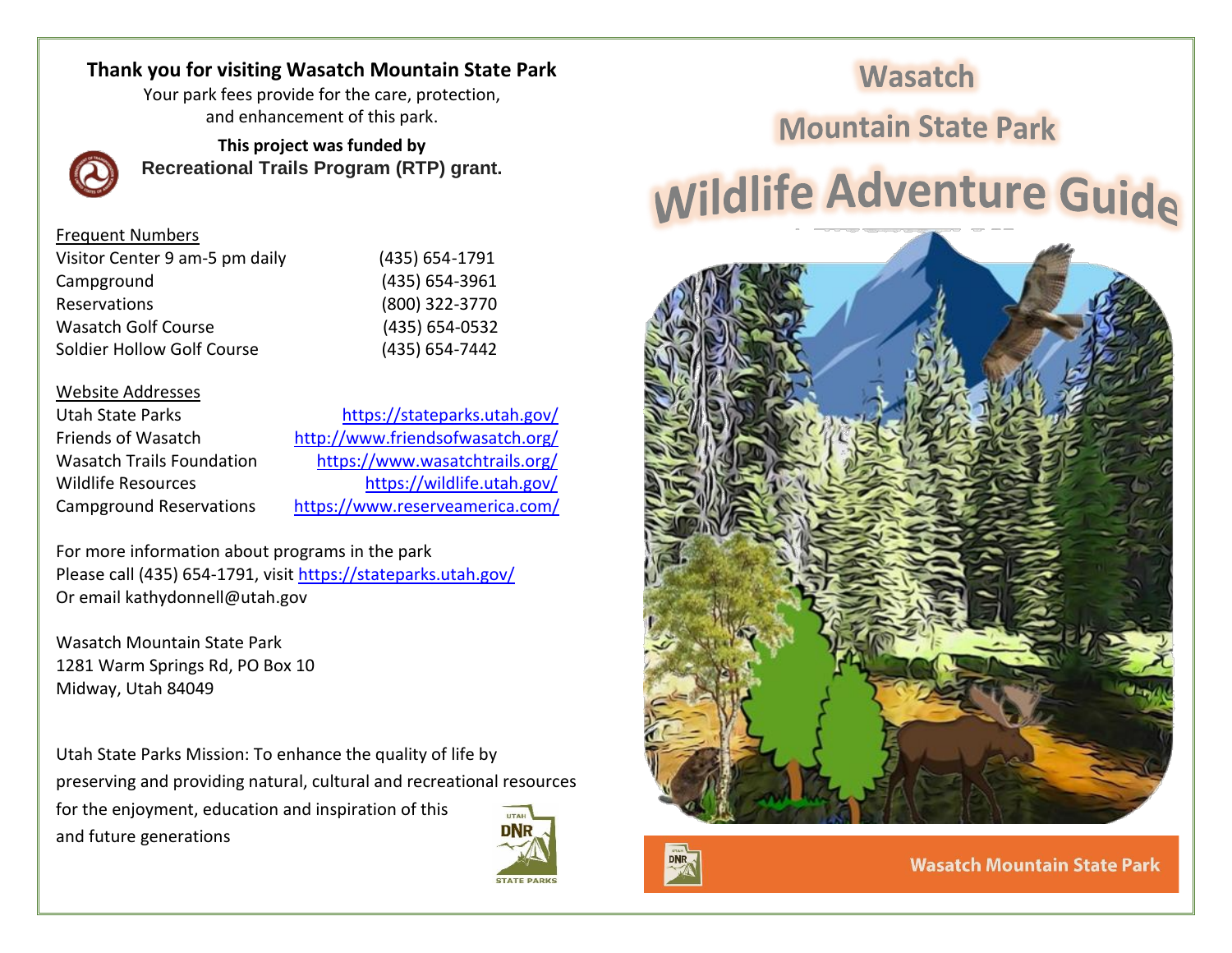#### **Thank you for visiting Wasatch Mountain State Park**

Your park fees provide for the care, protection, and enhancement of this park.



**This project was funded by Recreational Trails Program (RTP) grant.**

#### Frequent Numbers

| Visitor Center 9 am-5 pm daily | (435) 654-1791 |
|--------------------------------|----------------|
| Campground                     | (435) 654-3961 |
| Reservations                   | (800) 322-3770 |
| <b>Wasatch Golf Course</b>     | (435) 654-0532 |
| Soldier Hollow Golf Course     | (435) 654-7442 |

#### Website Addresses

| <b>Utah State Parks</b>          |
|----------------------------------|
| <b>Friends of Wasatch</b>        |
| <b>Wasatch Trails Foundation</b> |
| Wildlife Resources               |
| <b>Campground Reservations</b>   |

https://stateparks.utah.gov/ <http://www.friendsofwasatch.org/> <https://www.wasatchtrails.org/> <https://wildlife.utah.gov/> <https://www.reserveamerica.com/>

For more information about programs in the park Please call (435) 654-1791, visi[t https://stateparks.utah.gov/](https://stateparks.utah.gov/) Or email kathydonnell@utah.gov

Wasatch Mountain State Park 1281 Warm Springs Rd, PO Box 10 Midway, Utah 84049

Utah State Parks Mission: To enhance the quality of life by preserving and providing natural, cultural and recreational resources for the enjoyment, education and inspiration of this and future generations



## **Wasatch**

**Mountain State Park** 

# **Wildlife Adventure Guide**



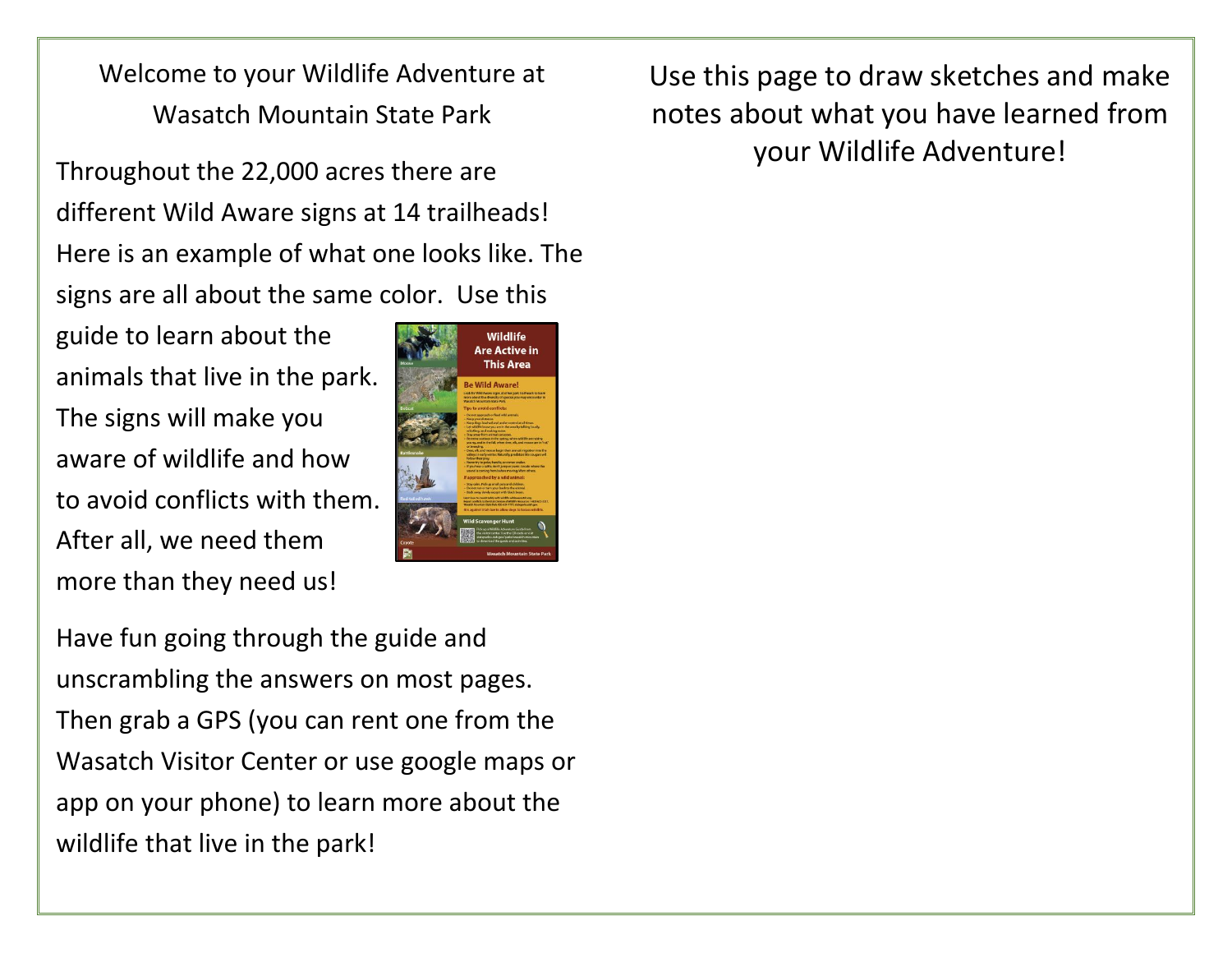Welcome to your Wildlife Adventure at Wasatch Mountain State Park

Throughout the 22,000 acres there are different Wild Aware signs at 14 trailheads! Here is an example of what one looks like. The signs are all about the same color. Use this

guide to learn about the animals that live in the park. The signs will make you aware of wildlife and how to avoid conflicts with them. After all, we need them more than they need us!



Have fun going through the guide and unscrambling the answers on most pages. Then grab a GPS (you can rent one from the Wasatch Visitor Center or use google maps or app on your phone) to learn more about the wildlife that live in the park!

Use this page to draw sketches and make notes about what you have learned from your Wildlife Adventure!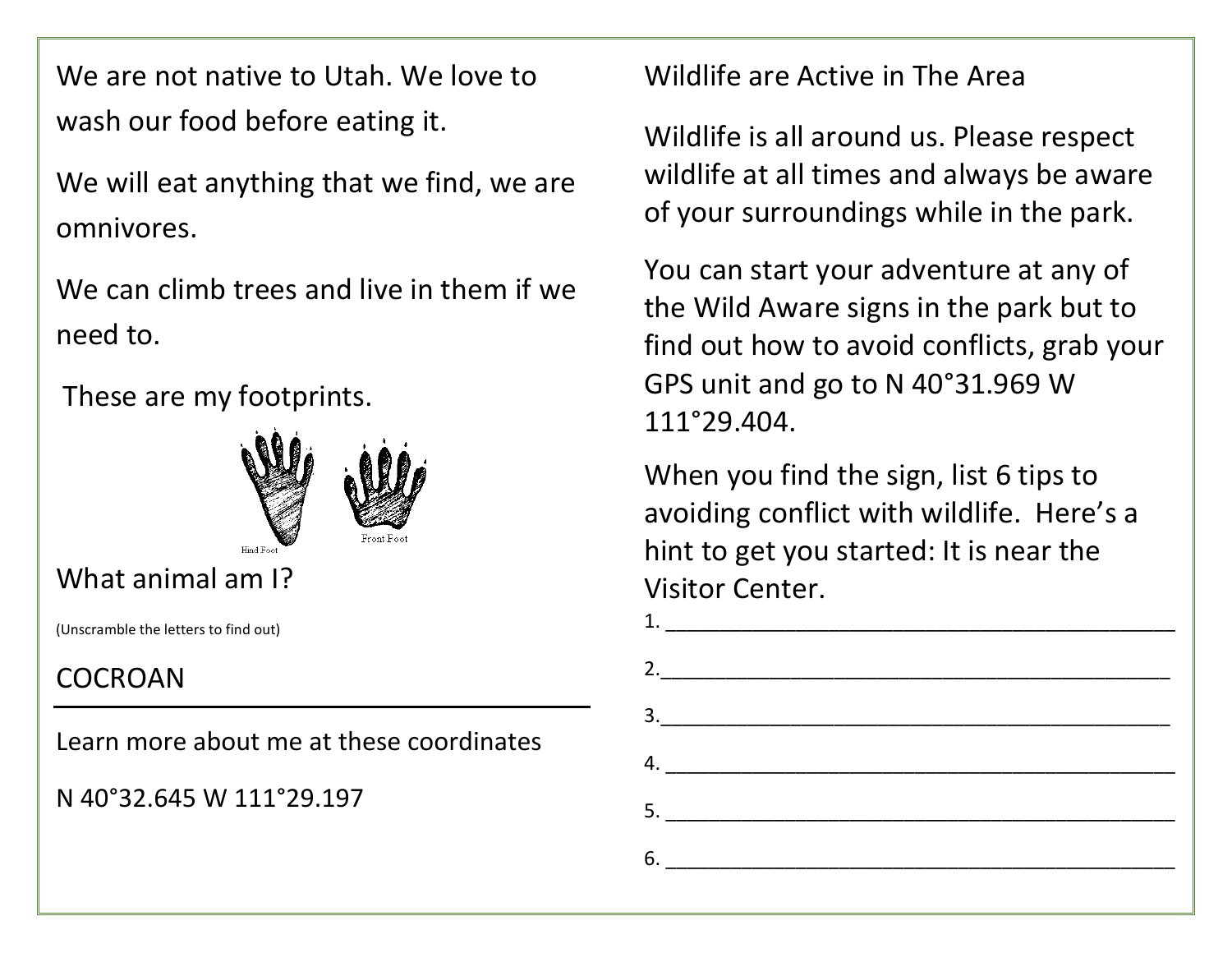We are not native to Utah. We love to wash our food before eating it.

We will eat anything that we find, we are omnivores.

We can climb trees and live in them if we need to.

These are my footprints.



What animal am I?

(Unscramble the letters to find out)

## **COCROAN**

Learn more about me at these coordinates

N 40°32.645 W 111°29.197

Wildlife are Active in The Area

Wildlife is all around us. Please respect wildlife at all times and always be aware of your surroundings while in the park.

You can start your adventure at any of the Wild Aware signs in the park but to find out how to avoid conflicts, grab your GPS unit and go to N 40°31.969 W 111°29.404.

When you find the sign, list 6 tips to avoiding conflict with wildlife. Here's a hint to get you started: It is near the Visitor Center.

1. \_\_\_\_\_\_\_\_\_\_\_\_\_\_\_\_\_\_\_\_\_\_\_\_\_\_\_\_\_\_\_\_\_\_\_\_\_\_\_\_\_\_\_\_\_\_\_

2.\_\_\_\_\_\_\_\_\_\_\_\_\_\_\_\_\_\_\_\_\_\_\_\_\_\_\_\_\_\_\_\_\_\_\_\_\_\_\_\_\_\_\_\_\_\_\_

 $3.$ 

4.

5. \_\_\_\_\_\_\_\_\_\_\_\_\_\_\_\_\_\_\_\_\_\_\_\_\_\_\_\_\_\_\_\_\_\_\_\_\_\_\_\_\_\_\_\_\_\_\_

6. \_\_\_\_\_\_\_\_\_\_\_\_\_\_\_\_\_\_\_\_\_\_\_\_\_\_\_\_\_\_\_\_\_\_\_\_\_\_\_\_\_\_\_\_\_\_\_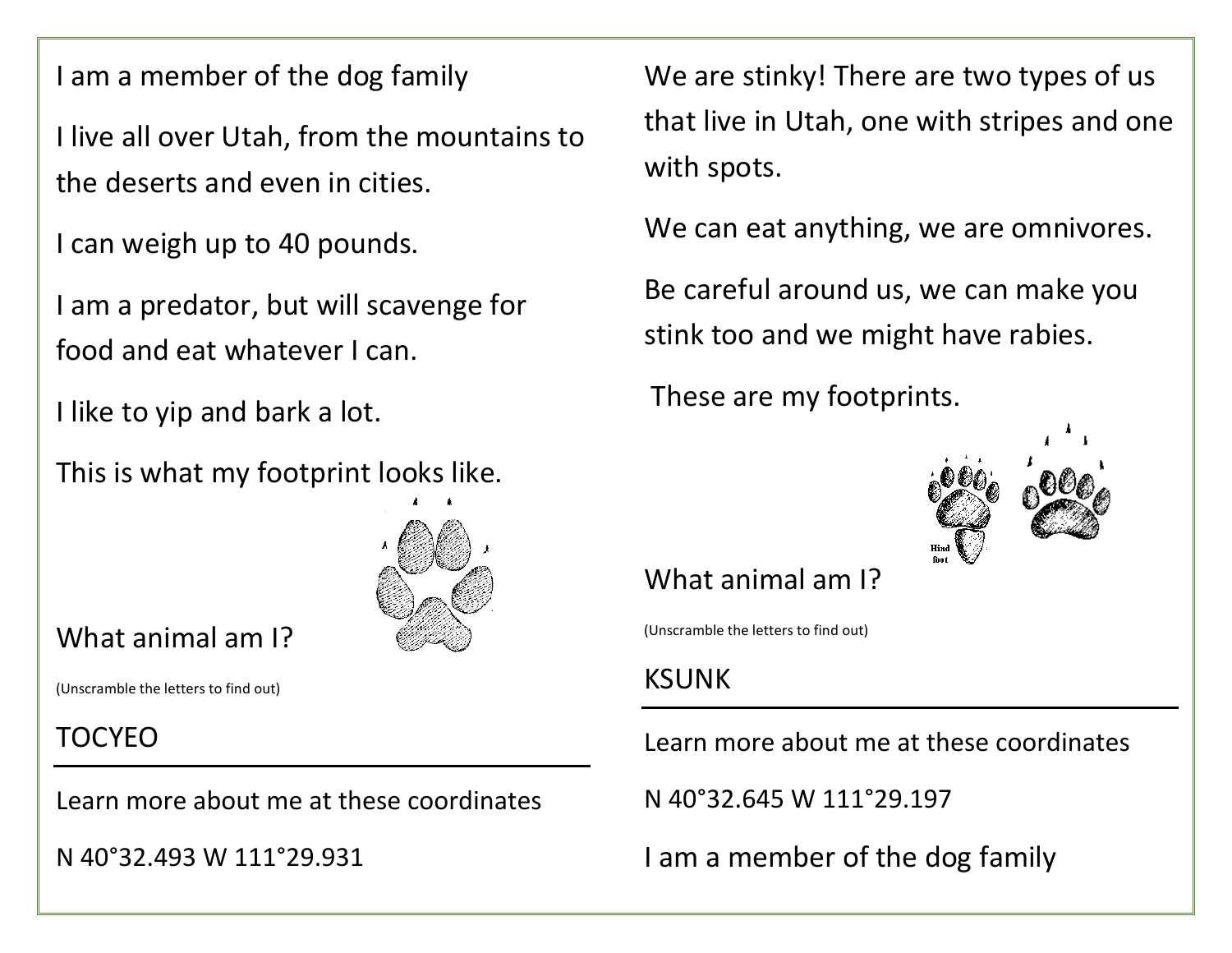I am a member of the dog family

I live all over Utah, from the mountains to the deserts and even in cities.

I can weigh up to 40 pounds.

I am a predator, but will scavenge for food and eat whatever I can.

I like to yip and bark a lot.

This is what my footprint looks like.



What animal am I?

(Unscramble the letters to find out)

TOCYEO

Learn more about me at these coordinates

N 40°32.493 W 111°29.931

We are stinky! There are two types of us that live in Utah, one with stripes and one with spots.

We can eat anything, we are omnivores.

Be careful around us, we can make you stink too and we might have rabies.

These are my footprints.



## What animal am I?

(Unscramble the letters to find out)

#### KSUNK

Learn more about me at these coordinates

N 40°32.645 W 111°29.197

I am a member of the dog family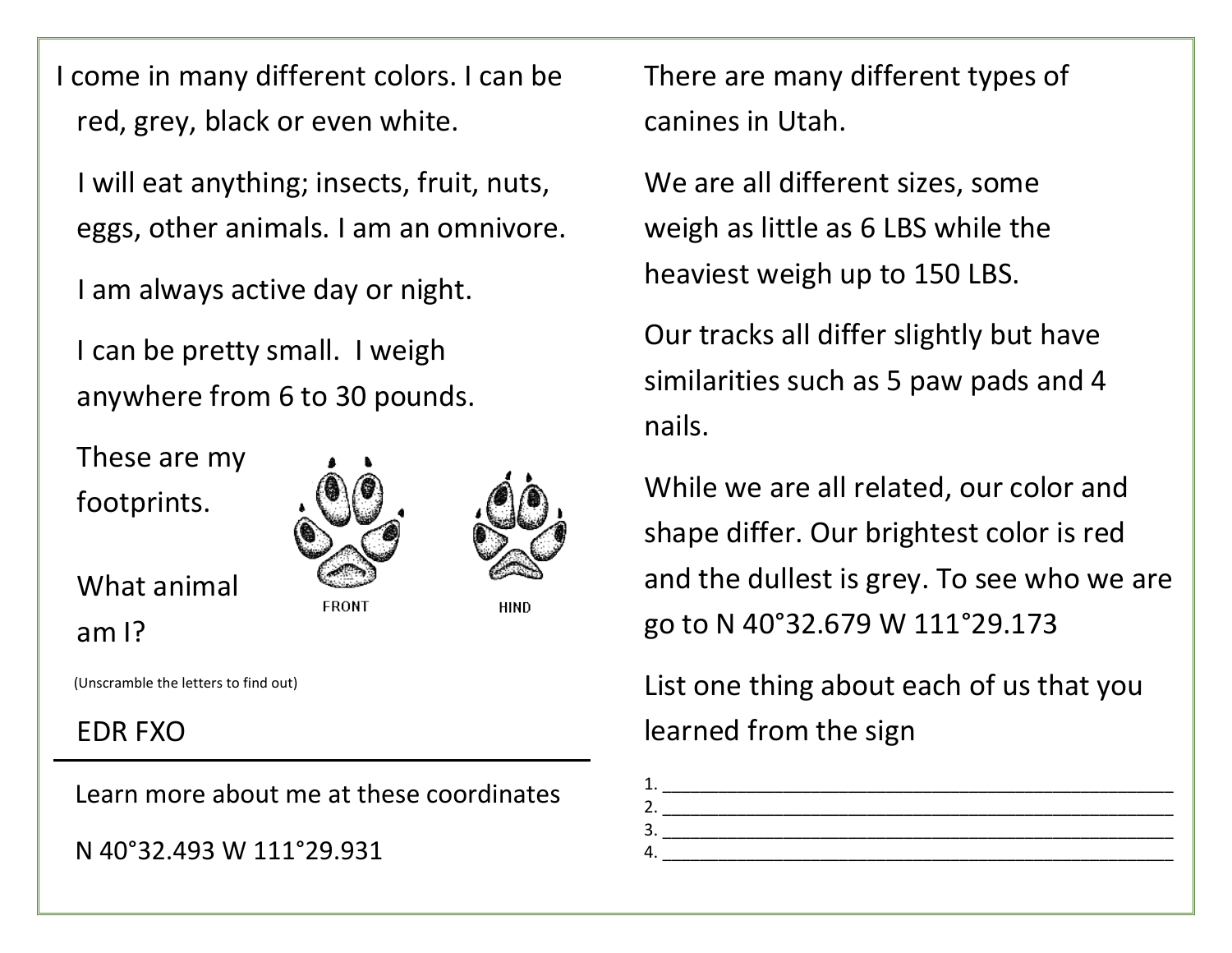I come in many different colors. I can be red, grey, black or even white.

 I will eat anything; insects, fruit, nuts, eggs, other animals. I am an omnivore.

I am always active day or night.

I can be pretty small. I weigh anywhere from 6 to 30 pounds.

These are my footprints.





**HIND** 

What animal am I?

(Unscramble the letters to find out)

#### EDR FXO

Learn more about me at these coordinates

N 40°32.493 W 111°29.931

There are many different types of canines in Utah.

We are all different sizes, some weigh as little as 6 LBS while the heaviest weigh up to 150 LBS.

Our tracks all differ slightly but have similarities such as 5 paw pads and 4 nails.

While we are all related, our color and shape differ. Our brightest color is red and the dullest is grey. To see who we are go to N 40°32.679 W 111°29.173

List one thing about each of us that you learned from the sign

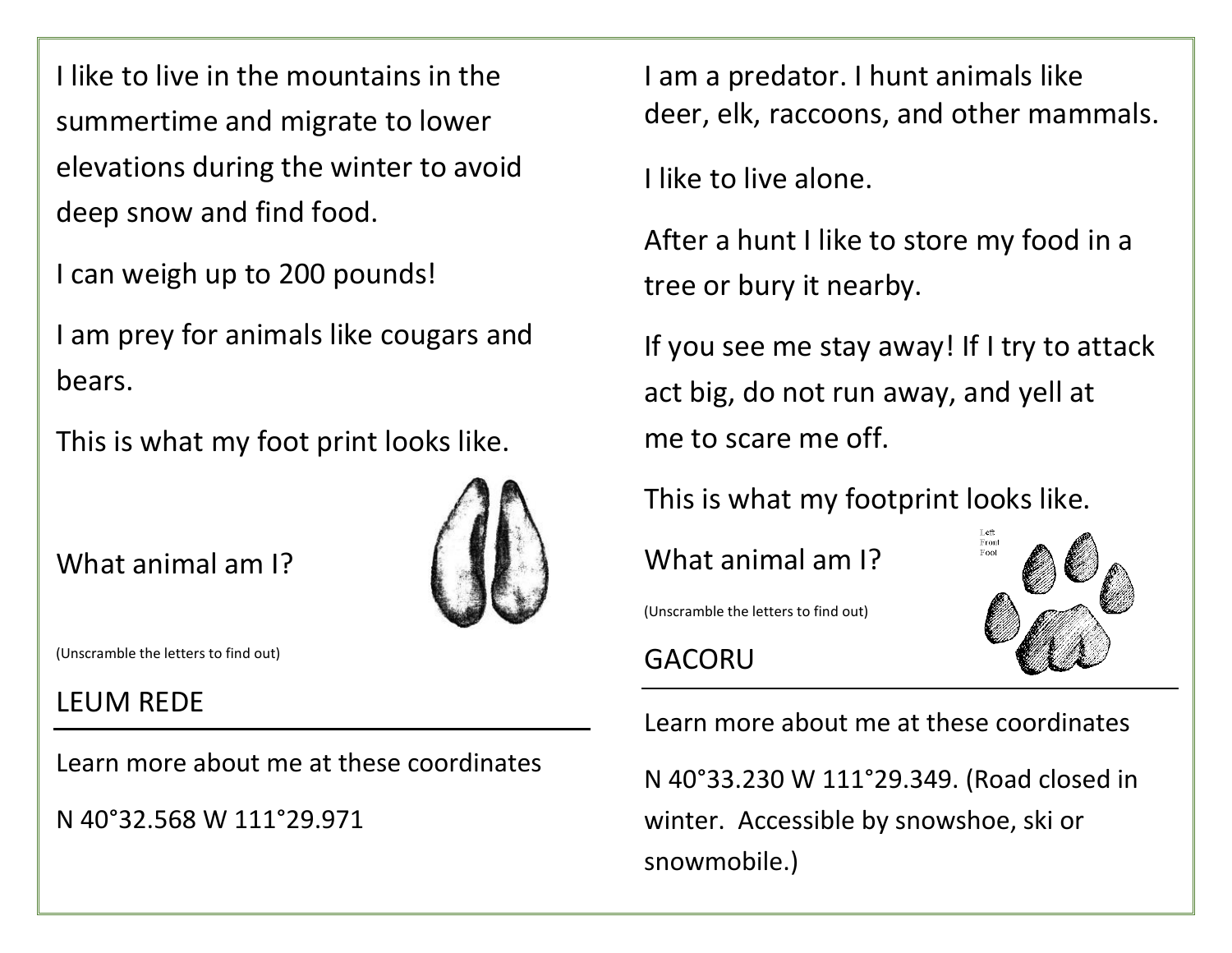I like to live in the mountains in the summertime and migrate to lower elevations during the winter to avoid deep snow and find food.

I can weigh up to 200 pounds!

I am prey for animals like cougars and bears.

This is what my foot print looks like.

What animal am I?



(Unscramble the letters to find out)

#### LEUM REDE

Learn more about me at these coordinates

N 40°32.568 W 111°29.971

I am a predator. I hunt animals like deer, elk, raccoons, and other mammals.

I like to live alone.

After a hunt I like to store my food in a tree or bury it nearby.

If you see me stay away! If I try to attack act big, do not run away, and yell at me to scare me off.

This is what my footprint looks like.

What animal am I?





#### GACORU

Learn more about me at these coordinates N 40°33.230 W 111°29.349. (Road closed in winter. Accessible by snowshoe, ski or snowmobile.)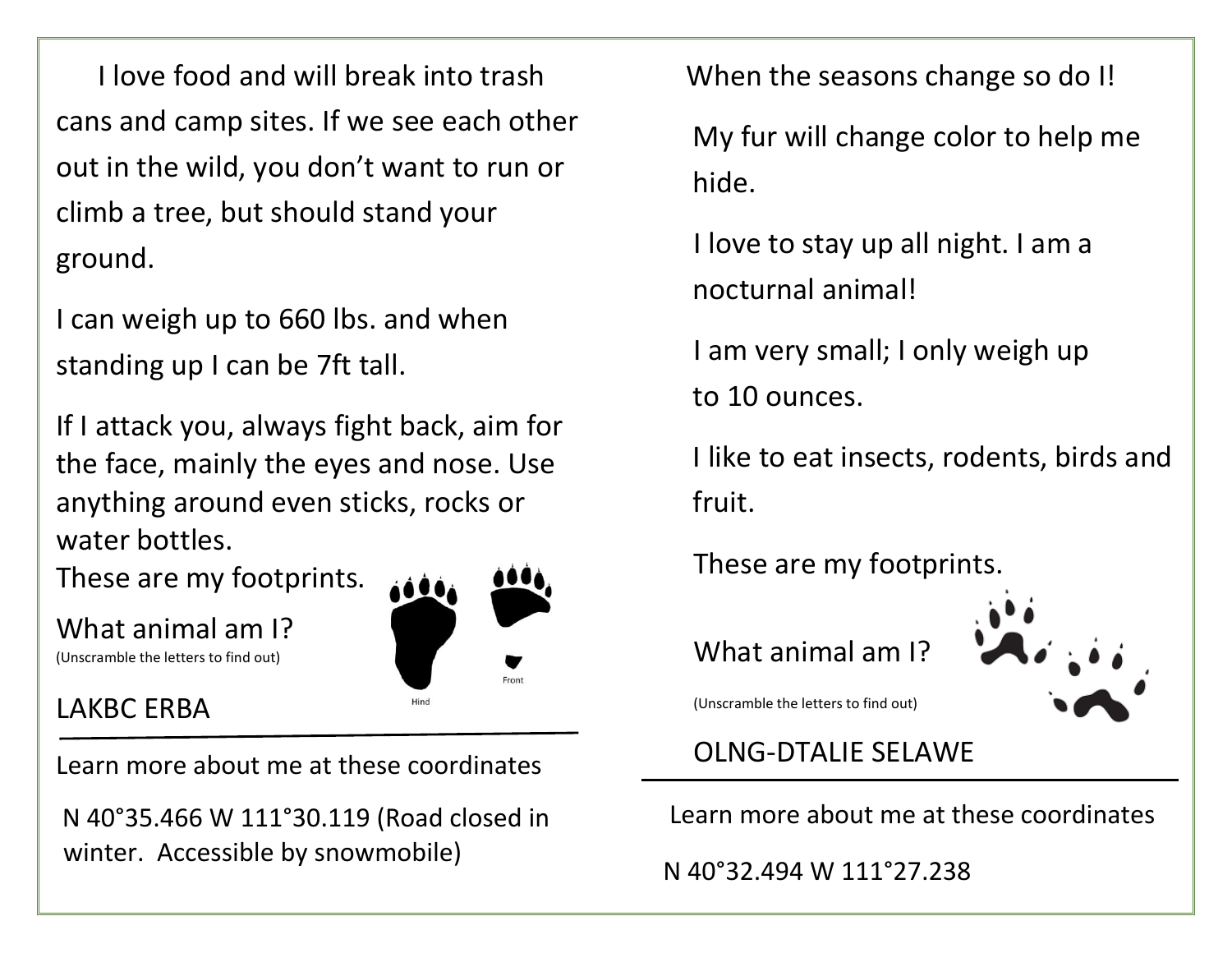I love food and will break into trash cans and camp sites. If we see each other out in the wild, you don't want to run or climb a tree, but should stand your ground.

I can weigh up to 660 lbs. and when standing up I can be 7ft tall.

If I attack you, always fight back, aim for the face, mainly the eyes and nose. Use anything around even sticks, rocks or water bottles.

These are my footprints.

What animal am I? (Unscramble the letters to find out)

#### LAKBC ERBA

Learn more about me at these coordinates

N 40°35.466 W 111°30.119 (Road closed in winter. Accessible by snowmobile)

When the seasons change so do I!

My fur will change color to help me hide.

 I love to stay up all night. I am a nocturnal animal!

 I am very small; I only weigh up to 10 ounces.

I like to eat insects, rodents, birds and fruit.

These are my footprints.

What animal am I?



(Unscramble the letters to find out)

#### OLNG-DTALIE SELAWE

Learn more about me at these coordinates

N 40°32.494 W 111°27.238

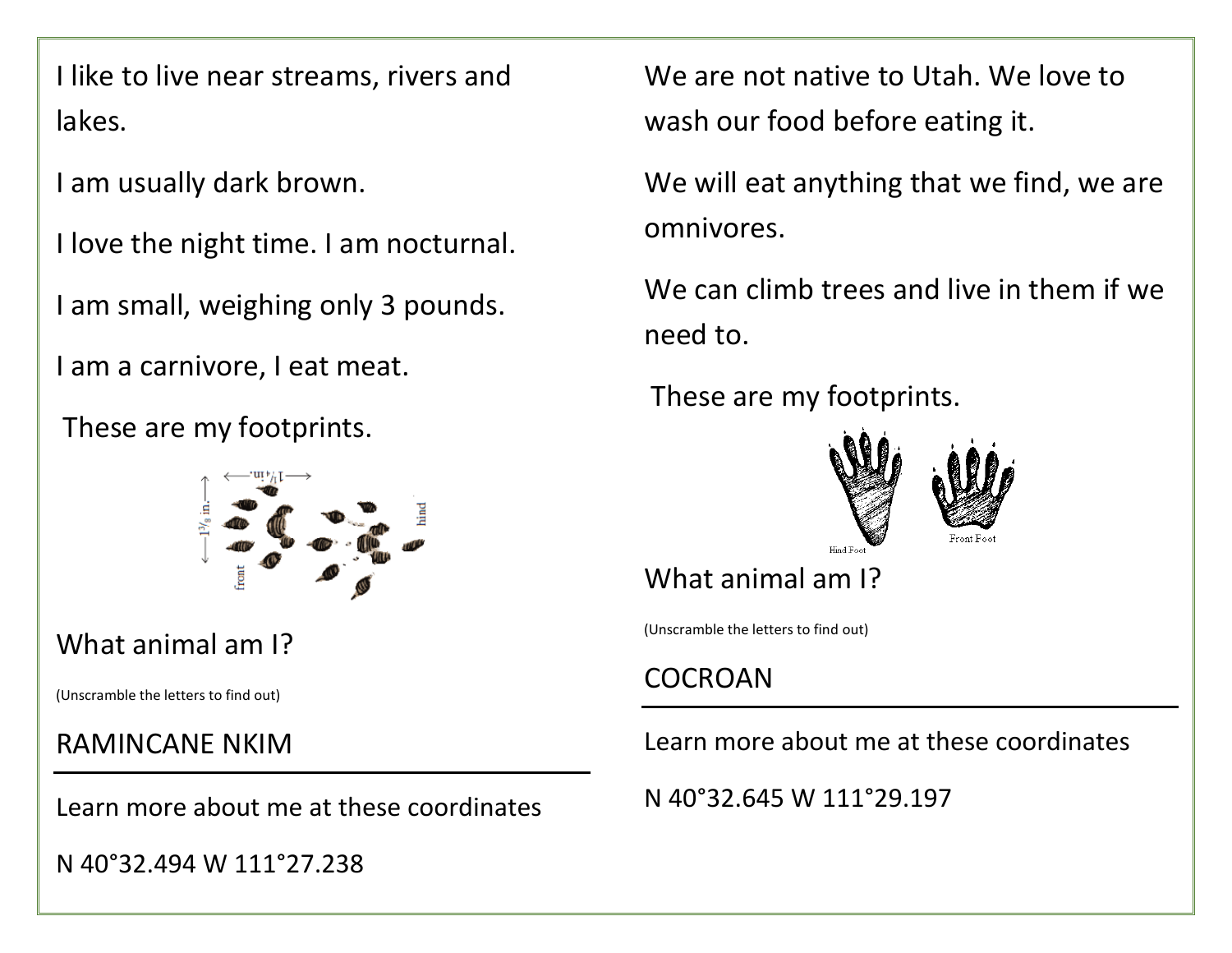I like to live near streams, rivers and lakes.

I am usually dark brown.

I love the night time. I am nocturnal.

I am small, weighing only 3 pounds.

I am a carnivore, I eat meat.

These are my footprints.



#### What animal am I?

(Unscramble the letters to find out)

#### RAMINCANE NKIM

Learn more about me at these coordinates

N 40°32.494 W 111°27.238

We are not native to Utah. We love to wash our food before eating it.

We will eat anything that we find, we are omnivores.

We can climb trees and live in them if we need to.

These are my footprints.



## What animal am I?

(Unscramble the letters to find out)

#### **COCROAN**

Learn more about me at these coordinates

N 40°32.645 W 111°29.197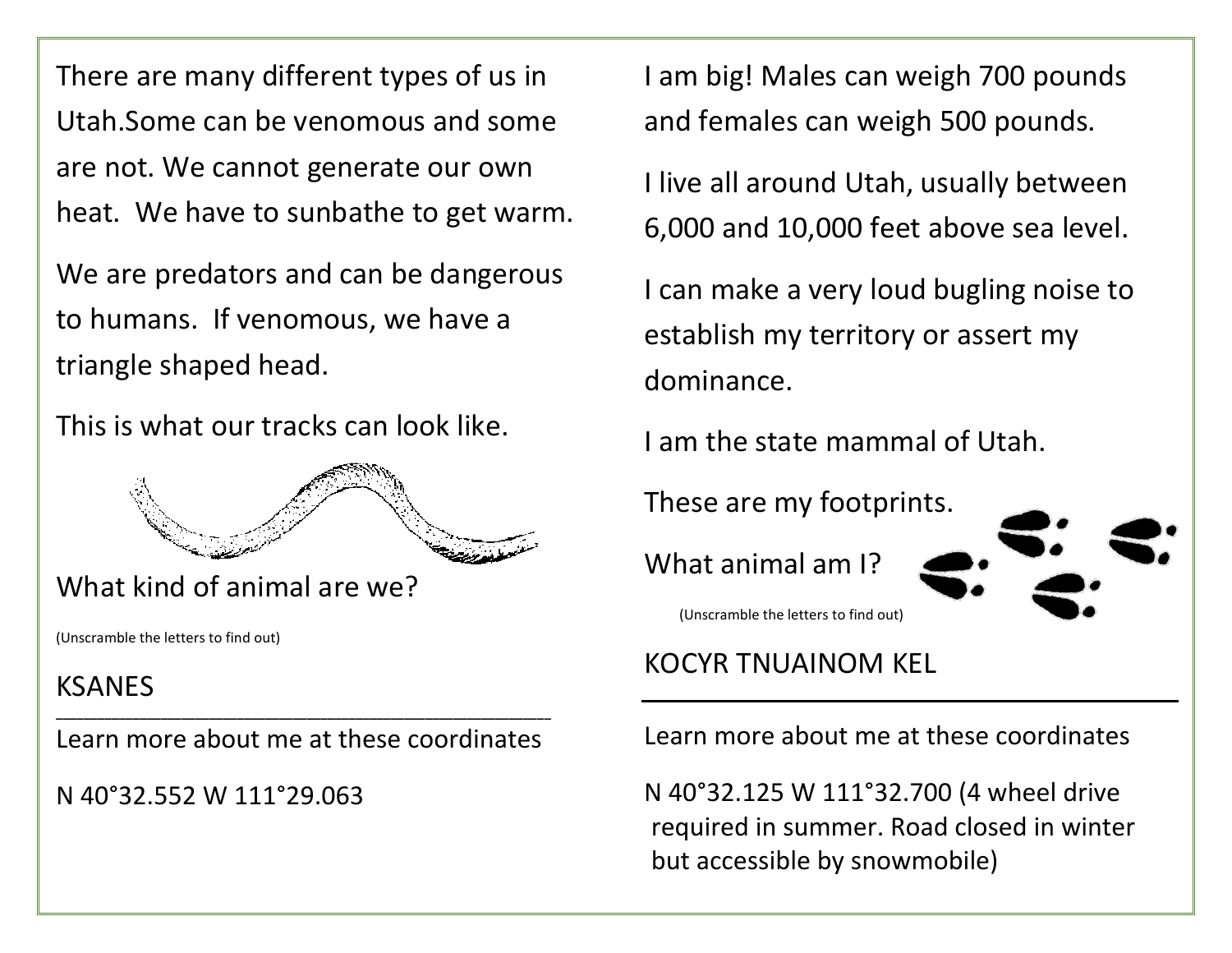There are many different types of us in Utah.Some can be venomous and some are not. We cannot generate our own heat. We have to sunbathe to get warm.

We are predators and can be dangerous to humans. If venomous, we have a triangle shaped head.

This is what our tracks can look like.

What kind of animal are we?

(Unscramble the letters to find out)

#### KSANES

**\_\_\_\_\_\_\_\_\_\_\_\_\_\_\_\_\_\_\_\_\_\_\_\_\_\_\_\_\_\_\_\_\_\_\_\_\_\_\_\_\_\_\_\_\_\_\_\_\_\_\_\_\_\_\_\_\_\_\_\_\_\_\_\_\_\_\_\_\_\_\_** Learn more about me at these coordinates

N 40°32.552 W 111°29.063

I am big! Males can weigh 700 pounds and females can weigh 500 pounds.

I live all around Utah, usually between 6,000 and 10,000 feet above sea level.

I can make a very loud bugling noise to establish my territory or assert my dominance.

I am the state mammal of Utah.

These are my footprints.

What animal am I?



(Unscramble the letters to find out)

#### KOCYR TNUAINOM KEL

Learn more about me at these coordinates

N 40°32.125 W 111°32.700 (4 wheel drive required in summer. Road closed in winter but accessible by snowmobile)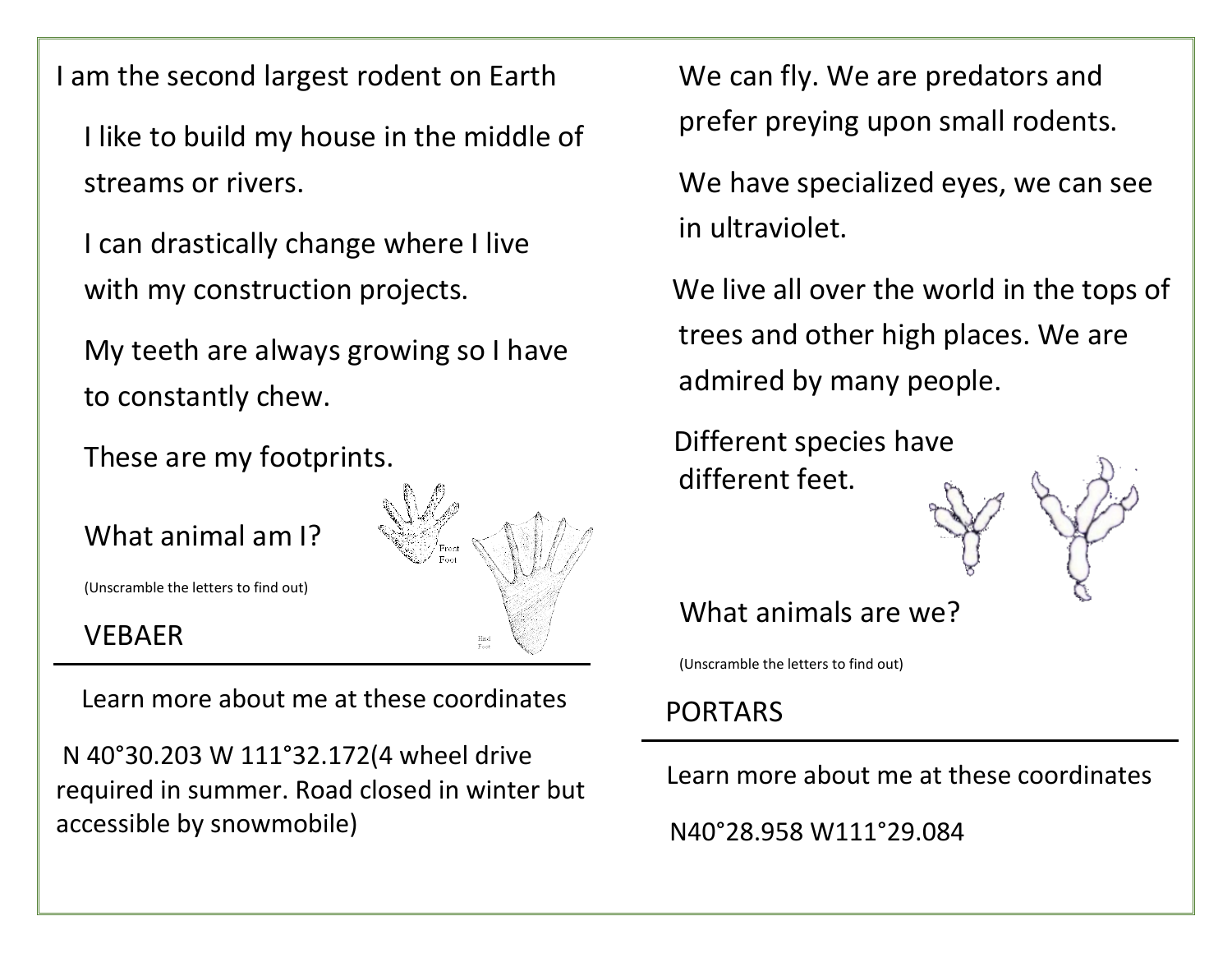I am the second largest rodent on Earth

I like to build my house in the middle of streams or rivers.

 I can drastically change where I live with my construction projects.

 My teeth are always growing so I have to constantly chew.

These are my footprints.

#### What animal am I?



(Unscramble the letters to find out)

#### VEBAER

Learn more about me at these coordinates

N 40°30.203 W 111°32.172(4 wheel drive required in summer. Road closed in winter but accessible by snowmobile)

We can fly. We are predators and prefer preying upon small rodents.

We have specialized eyes, we can see in ultraviolet.

 We live all over the world in the tops of trees and other high places. We are admired by many people.

 Different species have different feet.



(Unscramble the letters to find out)

#### PORTARS

 Learn more about me at these coordinates N40°28.958 W111°29.084